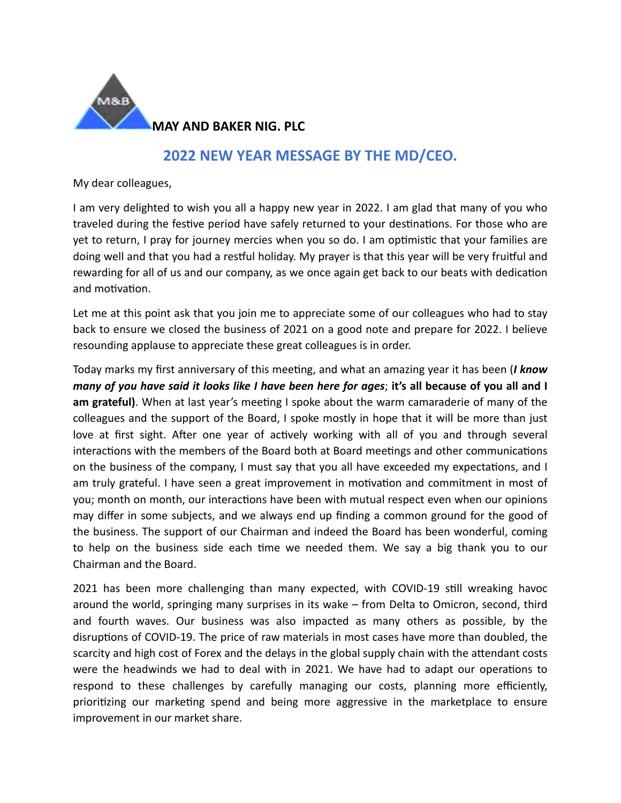

## **2022 NEW YEAR MESSAGE BY THE MD/CEO.**

My dear colleagues,

I am very delighted to wish you all a happy new year in 2022. I am glad that many of you who traveled during the festive period have safely returned to your destinations. For those who are yet to return, I pray for journey mercies when you so do. I am optimistic that your families are doing well and that you had a restful holiday. My prayer is that this year will be very fruitful and rewarding for all of us and our company, as we once again get back to our beats with dedication and motivation.

Let me at this point ask that you join me to appreciate some of our colleagues who had to stay back to ensure we closed the business of 2021 on a good note and prepare for 2022. I believe resounding applause to appreciate these great colleagues is in order.

Today marks my first anniversary of this meeting, and what an amazing year it has been (*I know many of you have said it looks like I have been here for ages*; **it's all because of you all and I am grateful)**. When at last year's meeting I spoke about the warm camaraderie of many of the colleagues and the support of the Board, I spoke mostly in hope that it will be more than just love at first sight. After one year of actively working with all of you and through several interactions with the members of the Board both at Board meetings and other communications on the business of the company, I must say that you all have exceeded my expectations, and I am truly grateful. I have seen a great improvement in motivation and commitment in most of you; month on month, our interactions have been with mutual respect even when our opinions may differ in some subjects, and we always end up finding a common ground for the good of the business. The support of our Chairman and indeed the Board has been wonderful, coming to help on the business side each time we needed them. We say a big thank you to our Chairman and the Board.

2021 has been more challenging than many expected, with COVID-19 still wreaking havoc around the world, springing many surprises in its wake – from Delta to Omicron, second, third and fourth waves. Our business was also impacted as many others as possible, by the disruptions of COVID-19. The price of raw materials in most cases have more than doubled, the scarcity and high cost of Forex and the delays in the global supply chain with the attendant costs were the headwinds we had to deal with in 2021. We have had to adapt our operations to respond to these challenges by carefully managing our costs, planning more efficiently, prioritizing our marketing spend and being more aggressive in the marketplace to ensure improvement in our market share.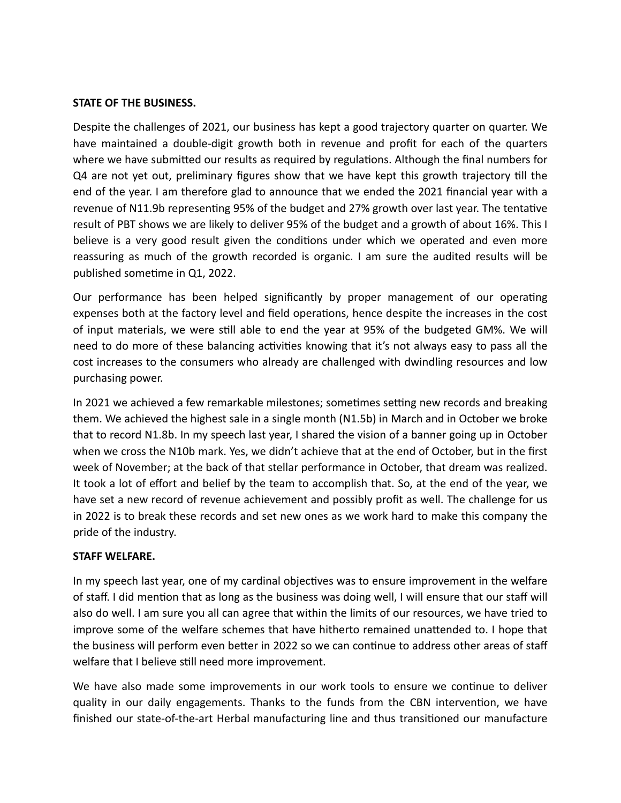## **STATE OF THE BUSINESS.**

Despite the challenges of 2021, our business has kept a good trajectory quarter on quarter. We have maintained a double-digit growth both in revenue and profit for each of the quarters where we have submitted our results as required by regulations. Although the final numbers for Q4 are not yet out, preliminary figures show that we have kept this growth trajectory till the end of the year. I am therefore glad to announce that we ended the 2021 financial year with a revenue of N11.9b representing 95% of the budget and 27% growth over last year. The tentative result of PBT shows we are likely to deliver 95% of the budget and a growth of about 16%. This I believe is a very good result given the conditions under which we operated and even more reassuring as much of the growth recorded is organic. I am sure the audited results will be published sometime in Q1, 2022.

Our performance has been helped significantly by proper management of our operating expenses both at the factory level and field operations, hence despite the increases in the cost of input materials, we were still able to end the year at 95% of the budgeted GM%. We will need to do more of these balancing activities knowing that it's not always easy to pass all the cost increases to the consumers who already are challenged with dwindling resources and low purchasing power.

In 2021 we achieved a few remarkable milestones; sometimes setting new records and breaking them. We achieved the highest sale in a single month (N1.5b) in March and in October we broke that to record N1.8b. In my speech last year, I shared the vision of a banner going up in October when we cross the N10b mark. Yes, we didn't achieve that at the end of October, but in the first week of November; at the back of that stellar performance in October, that dream was realized. It took a lot of effort and belief by the team to accomplish that. So, at the end of the year, we have set a new record of revenue achievement and possibly profit as well. The challenge for us in 2022 is to break these records and set new ones as we work hard to make this company the pride of the industry.

## **STAFF WELFARE.**

In my speech last year, one of my cardinal objectives was to ensure improvement in the welfare of staff. I did mention that as long as the business was doing well, I will ensure that our staff will also do well. I am sure you all can agree that within the limits of our resources, we have tried to improve some of the welfare schemes that have hitherto remained unattended to. I hope that the business will perform even better in 2022 so we can continue to address other areas of staff welfare that I believe still need more improvement.

We have also made some improvements in our work tools to ensure we continue to deliver quality in our daily engagements. Thanks to the funds from the CBN intervention, we have finished our state-of-the-art Herbal manufacturing line and thus transitioned our manufacture